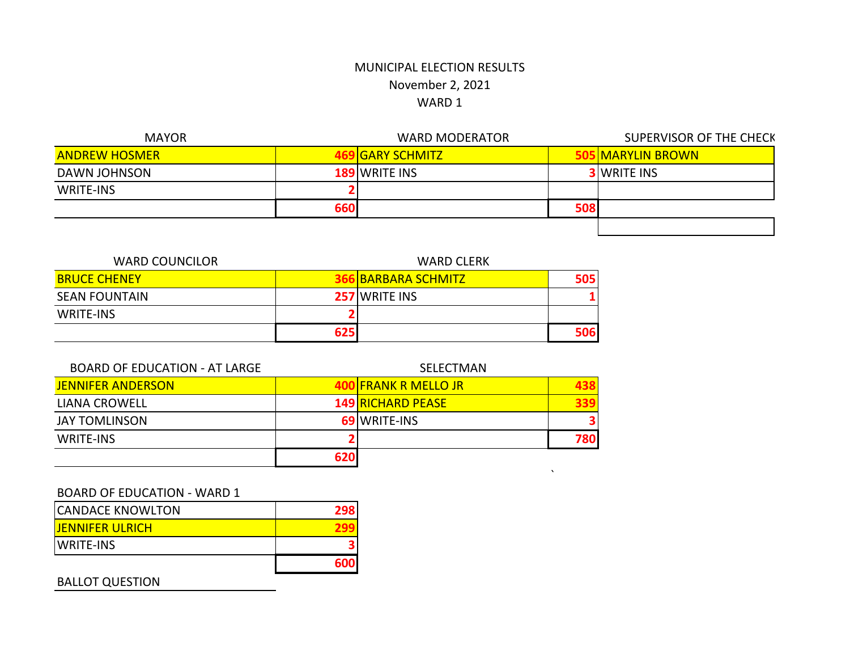$\mathbf{x}^{\mathcal{A}}$ 

| <b>MAYOR</b>         |            | <b>WARD MODERATOR</b> |     | SUPERVISOR OF THE CHECK      |
|----------------------|------------|-----------------------|-----|------------------------------|
| <b>ANDREW HOSMER</b> |            | <b>JIGARY SCHMITZ</b> |     | <mark>S MARYLIN BROWN</mark> |
| DAWN JOHNSON         |            | <b>189 WRITE INS</b>  |     | <b>3</b> WRITE INS           |
| WRITE-INS            |            |                       |     |                              |
|                      | <b>660</b> |                       | 508 |                              |
|                      |            |                       |     |                              |

| <b>WARD COUNCILOR</b> |     | <b>WARD CLERK</b>          |     |  |
|-----------------------|-----|----------------------------|-----|--|
| <b>BRUCE CHENEY</b>   |     | <b>366 BARBARA SCHMITZ</b> | 505 |  |
| SEAN FOUNTAIN         |     | <b>257 WRITE INS</b>       |     |  |
| <b>WRITE-INS</b>      |     |                            |     |  |
|                       | 625 |                            |     |  |

| <b>BOARD OF EDUCATION - AT LARGE</b> | SELECTMAN |                          |      |
|--------------------------------------|-----------|--------------------------|------|
| <b>JENNIFER ANDERSON</b>             |           | IFRANK R MELLO JR        | 1381 |
| LIANA CROWELL                        |           | <b>149 RICHARD PEASE</b> | 339. |
| <b>JAY TOMLINSON</b>                 |           | <b>69 WRITE-INS</b>      | 3    |
| WRITE-INS                            |           |                          | 780  |
|                                      | 620       |                          |      |

## BOARD OF EDUCATION - WARD 1

| <b>ICANDACE KNOWLTON</b> | 298 |
|--------------------------|-----|
| <b>JENNIFER ULRICH</b>   |     |
| <b>IWRITE-INS</b>        |     |
|                          |     |

## BALLOT QUESTION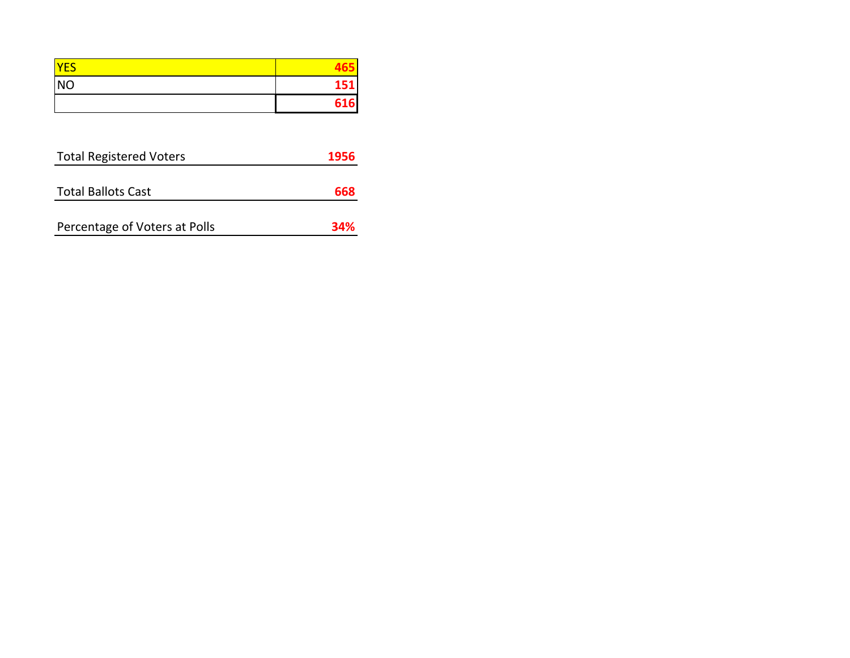| <b>VEC</b>     |     |
|----------------|-----|
| N <sub>O</sub> |     |
|                | 616 |

| 1956 |
|------|
|      |
| 668  |
|      |
| 34%  |
|      |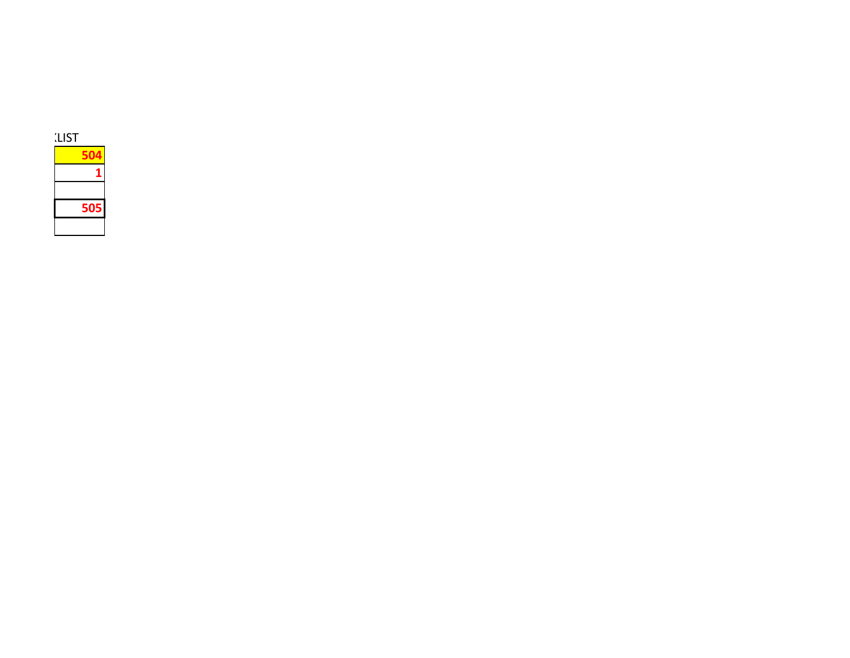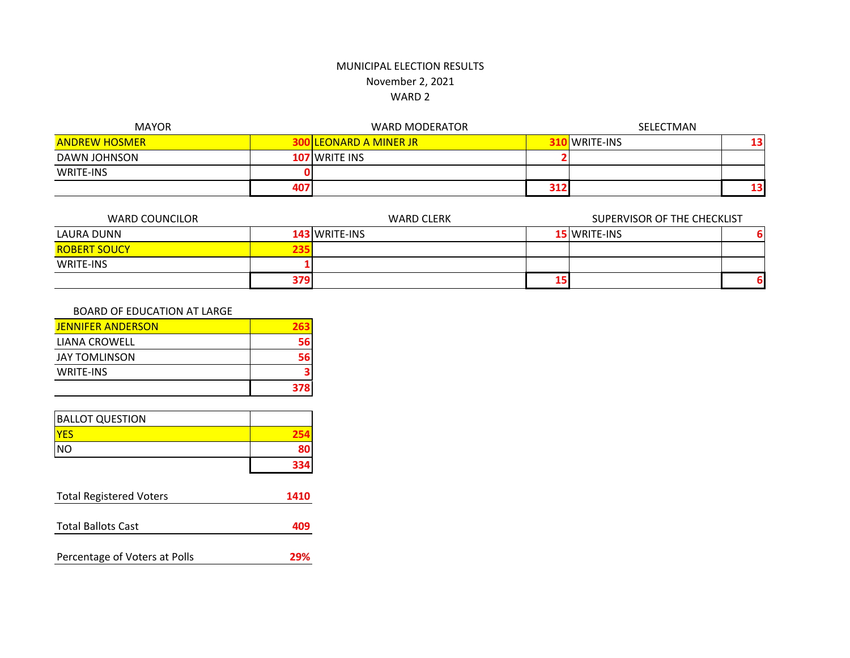| <b>MAYOR</b>         |     | <b>WARD MODERATOR</b>         |     | SELECTMAN        |    |  |
|----------------------|-----|-------------------------------|-----|------------------|----|--|
| <b>ANDREW HOSMER</b> |     | <b>300 LEONARD A MINER JR</b> |     | <b>WRITE-INS</b> | 13 |  |
| DAWN JOHNSON         |     | <b>107</b> WRITE INS          |     |                  |    |  |
| WRITE-INS            |     |                               |     |                  |    |  |
|                      | 407 |                               | 312 |                  | 13 |  |

| WARD COUNCILOR      | <b>WARD CLERK</b> |                      | SUPERVISOR OF THE CHECKLIST |                     |  |
|---------------------|-------------------|----------------------|-----------------------------|---------------------|--|
| LAURA DUNN          |                   | <b>143 WRITE-INS</b> |                             | <b>15 WRITE-INS</b> |  |
| <b>ROBERT SOUCY</b> | 235.              |                      |                             |                     |  |
| WRITE-INS           |                   |                      |                             |                     |  |
|                     | <b>379</b>        |                      |                             |                     |  |

#### BOARD OF EDUCATION AT LARGE

| <b>JENNIFER ANDERSON</b> |     |
|--------------------------|-----|
| LIANA CROWELL            | 56  |
| JAY TOMLINSON            | 56  |
| <b>WRITE-INS</b>         | 2   |
|                          | 378 |

| <b>BALLOT QUESTION</b> |  |
|------------------------|--|
|                        |  |
| <b>NO</b>              |  |
|                        |  |

| <b>Total Registered Voters</b> | 1410 |
|--------------------------------|------|
|                                |      |
| <b>Total Ballots Cast</b>      | 409  |
|                                |      |
| Percentage of Voters at Polls  | 29%  |
|                                |      |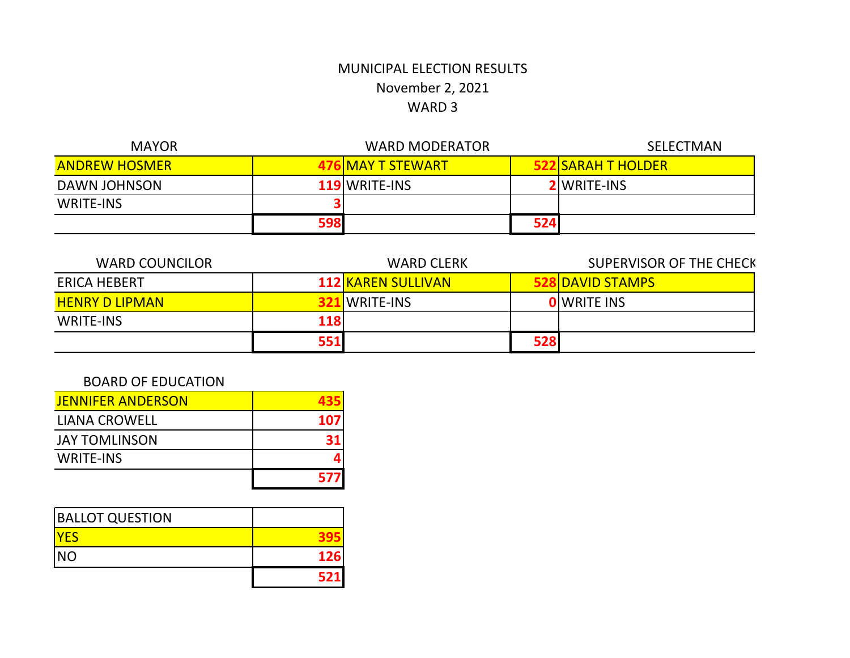| <b>MAYOR</b>         |     | <b>WARD MODERATOR</b>    |     | <b>SELECTMAN</b>          |
|----------------------|-----|--------------------------|-----|---------------------------|
| <b>ANDREW HOSMER</b> |     | <b>476 MAY T STEWART</b> |     | <b>522 SARAH T HOLDER</b> |
| DAWN JOHNSON         |     | <b>119 WRITE-INS</b>     |     | <b>2</b> WRITE-INS        |
| <b>WRITE-INS</b>     |     |                          |     |                           |
|                      | 598 |                          | 524 |                           |

| <b>WARD COUNCILOR</b> |           | SUPERVISOR OF THE CHECK<br><b>WARD CLERK</b> |                      |
|-----------------------|-----------|----------------------------------------------|----------------------|
| ERICA HEBERT          |           | <b>112 KAREN SULLIVAN</b>                    | <b>NDAVID STAMPS</b> |
| <b>HENRY D LIPMAN</b> | WRITE-INS |                                              | <b>O</b> IWRITE INS  |
| <b>WRITE-INS</b>      | 118       |                                              |                      |
|                       | 551       | 528                                          |                      |

## BOARD OF EDUCATION

| <b>JENNIFER ANDERSON</b> |     |
|--------------------------|-----|
| <b>LIANA CROWELL</b>     | 107 |
| <b>JAY TOMLINSON</b>     | 31  |
| <b>WRITE-INS</b>         |     |
|                          | 577 |

| <b>BALLOT QUESTION</b> |            |
|------------------------|------------|
| <u>IYES</u>            |            |
| <b>NO</b>              | <b>126</b> |
|                        | 521        |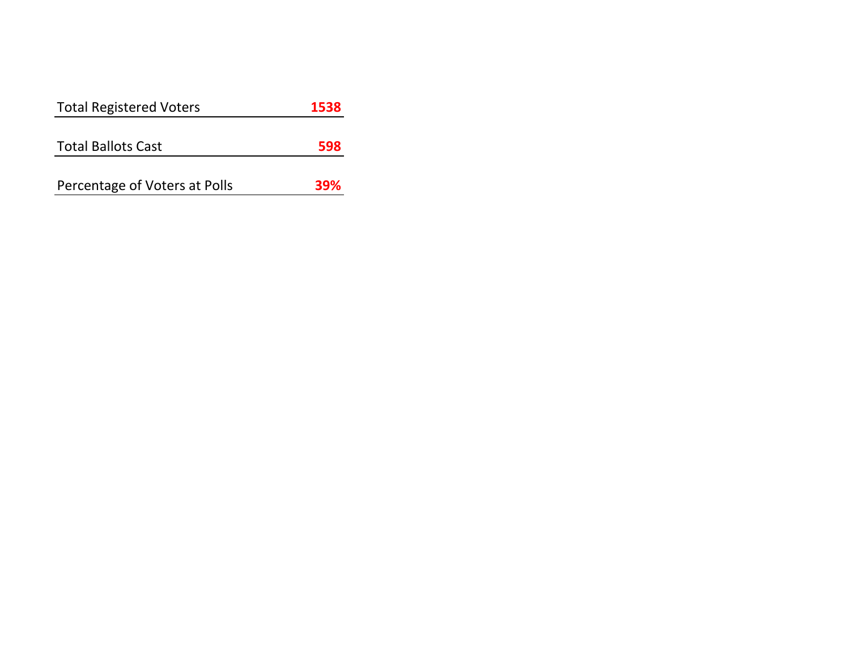| <b>Total Registered Voters</b> | 1538 |
|--------------------------------|------|
|                                |      |
| <b>Total Ballots Cast</b>      | 598  |
|                                |      |
| Percentage of Voters at Polls  | 39%  |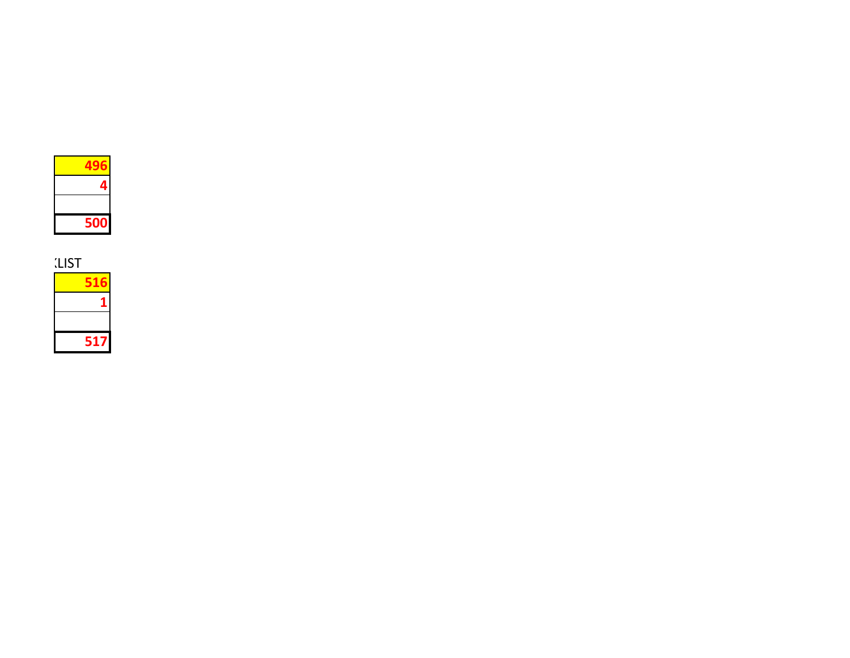

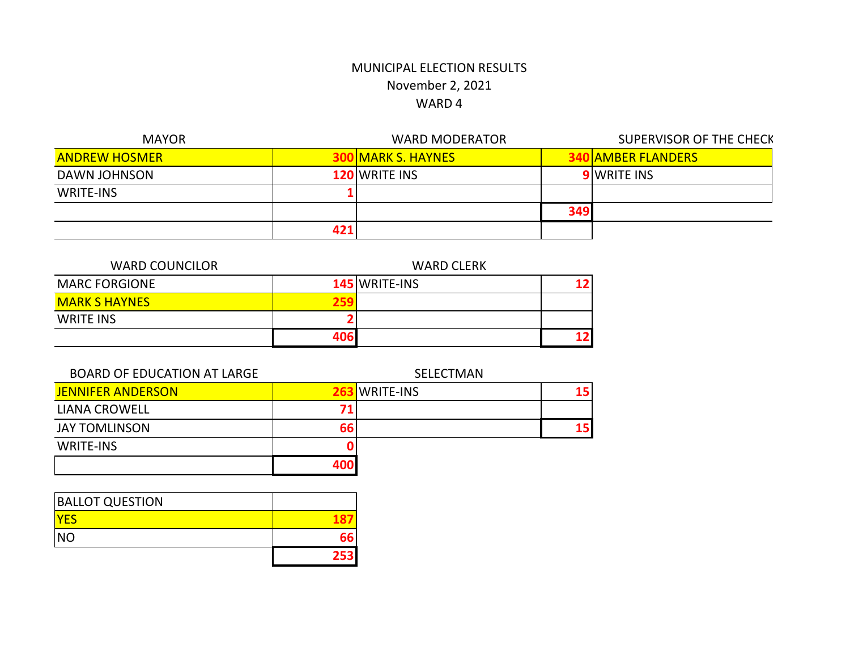| <b>MAYOR</b>         |     | <b>WARD MODERATOR</b> |     | <b>SUPERVISOR OF THE CHECK</b> |
|----------------------|-----|-----------------------|-----|--------------------------------|
| <b>ANDREW HOSMER</b> |     | NMARK S. HAYNES       |     | OIAMBER FLANDERS               |
| DAWN JOHNSON         |     | <b>120 WRITE INS</b>  |     | <b>9</b> WRITE INS             |
| <b>WRITE-INS</b>     |     |                       |     |                                |
|                      |     |                       | 349 |                                |
|                      | 42: |                       |     |                                |

| <b>WARD COUNCILOR</b> | <b>WARD CLERK</b> |               |  |
|-----------------------|-------------------|---------------|--|
| <b>MARC FORGIONE</b>  |                   | 145 WRITE-INS |  |
| <b>MARK S HAYNES</b>  | 751               |               |  |
| <b>WRITE INS</b>      |                   |               |  |
|                       | 406               |               |  |

| <b>BOARD OF EDUCATION AT LARGE</b> |     | SELECTMAN        |    |
|------------------------------------|-----|------------------|----|
| <b>JENNIFER ANDERSON</b>           |     | <b>WRITE-INS</b> | 15 |
| <b>LIANA CROWELL</b>               |     |                  |    |
| <b>JAY TOMLINSON</b>               | 66  |                  | 15 |
| <b>WRITE-INS</b>                   |     |                  |    |
|                                    | 400 |                  |    |

| <b>BALLOT QUESTION</b> |      |
|------------------------|------|
| <b>YES</b>             |      |
| <b>NO</b>              | 66   |
|                        | 2531 |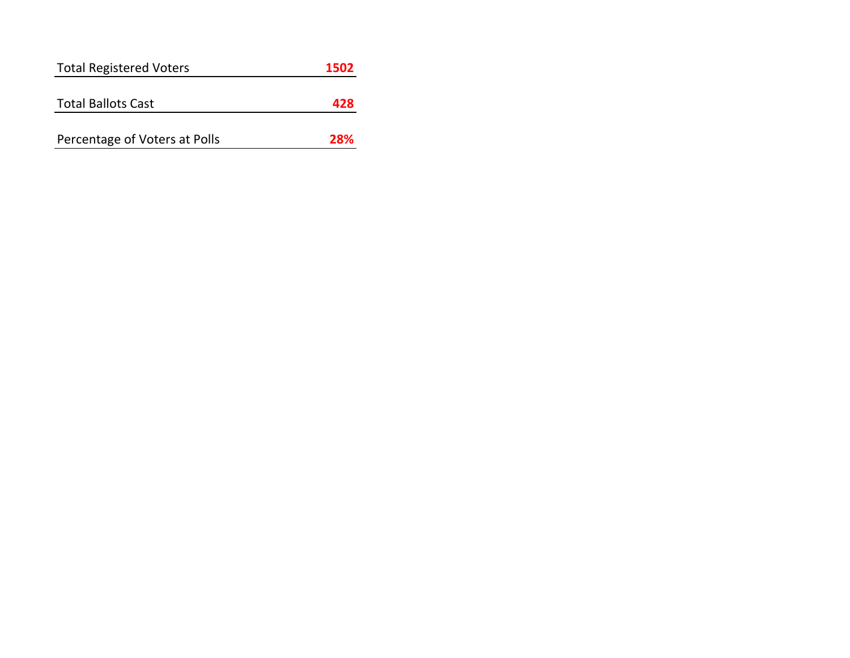| <b>Total Registered Voters</b> | 1502 |
|--------------------------------|------|
|                                |      |
| <b>Total Ballots Cast</b>      | 478  |
|                                |      |
| Percentage of Voters at Polls  | 28%  |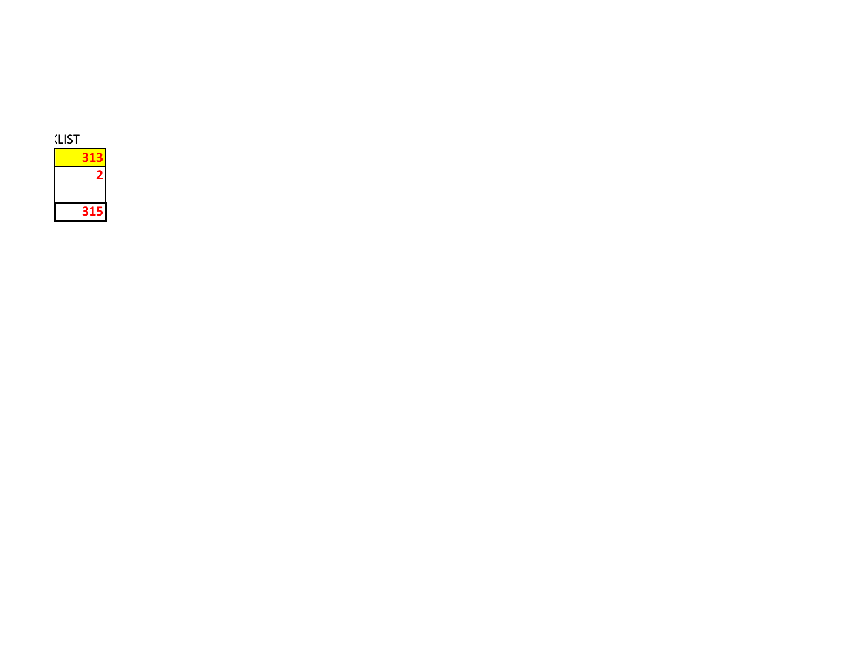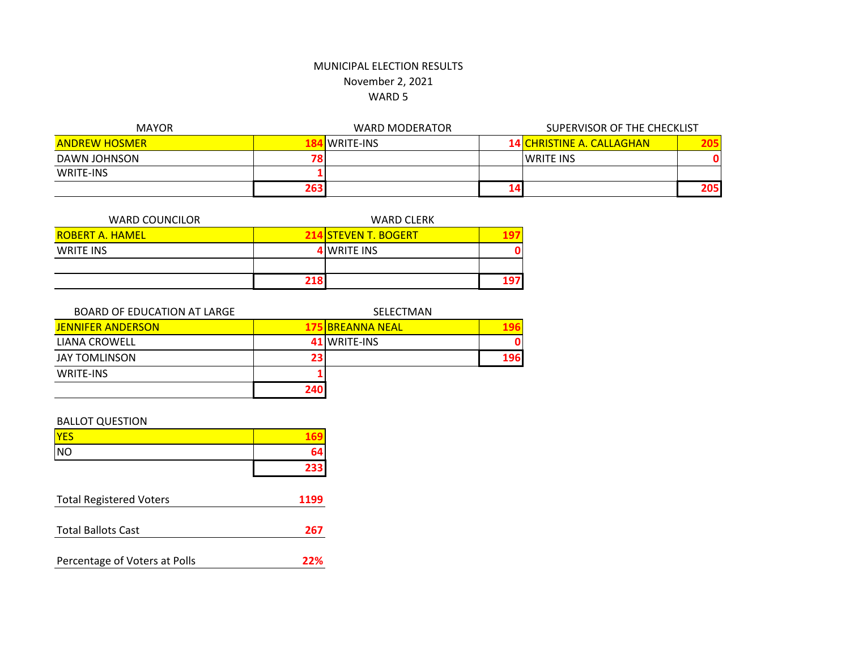| <b>MAYOR</b>         |     | WARD MODERATOR   | SUPERVISOR OF THE CHECKLIST |                                  |      |
|----------------------|-----|------------------|-----------------------------|----------------------------------|------|
| <b>ANDREW HOSMER</b> |     | <b>WRITE-INS</b> |                             | <b>14 CHRISTINE A. CALLAGHAN</b> | 205  |
| DAWN JOHNSON         | 78  |                  |                             | <b>WRITE INS</b>                 |      |
| WRITE-INS            |     |                  |                             |                                  |      |
|                      | 263 |                  |                             |                                  | 2051 |

| <b>WARD COUNCILOR</b>  | <b>WARD CLERK</b> |                             |     |
|------------------------|-------------------|-----------------------------|-----|
| <b>ROBERT A. HAMEL</b> |                   | <b>214 STEVEN T. BOGERT</b> |     |
| WRITE INS              |                   | <b>4 WRITE INS</b>          | O   |
|                        |                   |                             |     |
|                        | 218               |                             | 197 |

| BOARD OF EDUCATION AT LARGE |     | SELECTMAN               |     |
|-----------------------------|-----|-------------------------|-----|
| <b>JENNIFER ANDERSON</b>    |     | <b>175 BREANNA NEAL</b> | 196 |
| LIANA CROWELL               |     | 41 WRITE-INS            |     |
| <b>JAY TOMLINSON</b>        | 23  |                         | 196 |
| WRITE-INS                   |     |                         |     |
|                             | 240 |                         |     |

### BALLOT QUESTION

| <b>YES</b> |     |
|------------|-----|
| <b>NO</b>  | 64  |
|            | 233 |

| <b>Total Registered Voters</b> | 1199 |
|--------------------------------|------|
| <b>Total Ballots Cast</b>      | 267  |
| Percentage of Voters at Polls  | 22%  |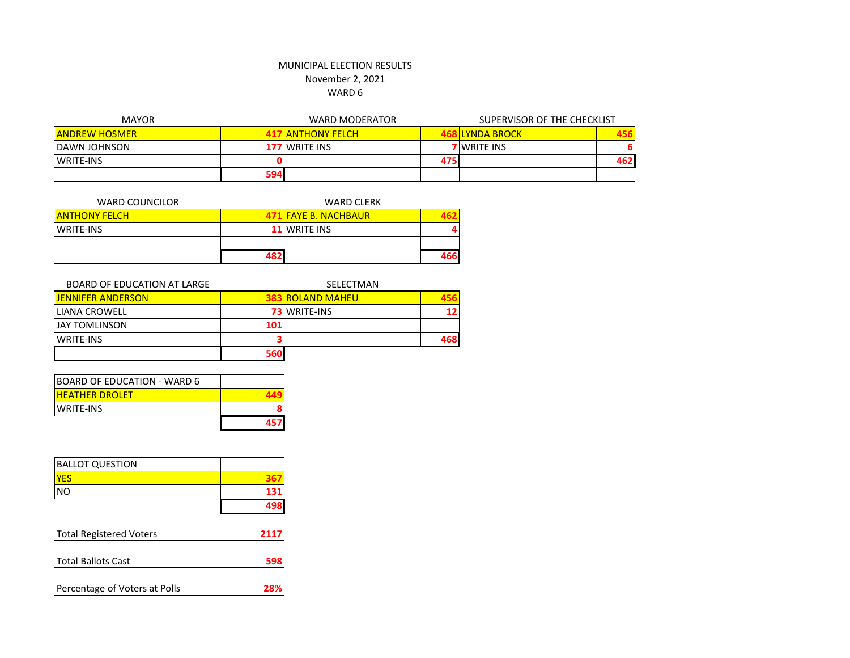#### MUNICIPAL ELECTION RESULTS November 2, 2021

## WARD 6

| <b>MAYOR</b>         |     | <b>WARD MODERATOR</b>   |     | SUPERVISOR OF THE CHECKLIST |     |
|----------------------|-----|-------------------------|-----|-----------------------------|-----|
| <b>ANDREW HOSMER</b> |     | <b>17 ANTHONY FELCH</b> |     | <b>ILYNDA BROCK</b>         |     |
| DAWN JOHNSON         |     | <b>177 WRITE INS</b>    |     | <b>7</b> WRITE INS          |     |
| <b>WRITE-INS</b>     |     |                         | 475 |                             | 462 |
|                      | 594 |                         |     |                             |     |

| <b>WARD COUNCILOR</b> |     | <b>WARD CLERK</b>    |     |
|-----------------------|-----|----------------------|-----|
| <b>ANTHONY FELCH</b>  |     | 471 FAYE B. NACHBAUR |     |
| WRITE-INS             |     | <b>11 WRITE INS</b>  |     |
|                       |     |                      |     |
|                       | 487 |                      | 466 |

| BOARD OF EDUCATION AT LARGE |     | SELECTMAN               |                 |
|-----------------------------|-----|-------------------------|-----------------|
| <b>JENNIFER ANDERSON</b>    |     | <b>383 ROLAND MAHEU</b> |                 |
| LIANA CROWELL               |     | <b>73 WRITE-INS</b>     | 12 <sup>1</sup> |
| <b>JAY TOMLINSON</b>        | 101 |                         |                 |
| WRITE-INS                   |     |                         | 468             |
|                             | 560 |                         |                 |

| <b>BOARD OF EDUCATION - WARD 6</b> |     |
|------------------------------------|-----|
| <b>HEATHER DROLET</b>              |     |
| <b>IWRITE-INS</b>                  |     |
|                                    | 457 |

| <b>BALLOT QUESTION</b>         |      |
|--------------------------------|------|
| <b>YES</b>                     |      |
| <b>NO</b>                      | 131  |
|                                |      |
| <b>Total Registered Voters</b> | 2117 |

| <b>TULAI REGISTER VULETS</b>  | <i><u></u></i> |
|-------------------------------|----------------|
|                               |                |
| <b>Total Ballots Cast</b>     | 598            |
|                               |                |
| Percentage of Voters at Polls | 28%            |
|                               |                |